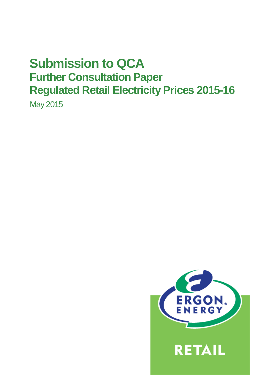# **Submission to QCA Further Consultation Paper Regulated Retail Electricity Prices 2015-16**

May 2015

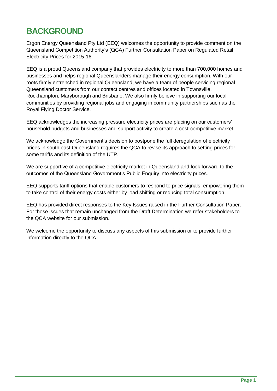# **BACKGROUND**

Ergon Energy Queensland Pty Ltd (EEQ) welcomes the opportunity to provide comment on the Queensland Competition Authority's (QCA) Further Consultation Paper on Regulated Retail Electricity Prices for 2015-16.

EEQ is a proud Queensland company that provides electricity to more than 700,000 homes and businesses and helps regional Queenslanders manage their energy consumption. With our roots firmly entrenched in regional Queensland, we have a team of people servicing regional Queensland customers from our contact centres and offices located in Townsville, Rockhampton, Maryborough and Brisbane. We also firmly believe in supporting our local communities by providing regional jobs and engaging in community partnerships such as the Royal Flying Doctor Service.

EEQ acknowledges the increasing pressure electricity prices are placing on our customers' household budgets and businesses and support activity to create a cost-competitive market.

We acknowledge the Government's decision to postpone the full deregulation of electricity prices in south east Queensland requires the QCA to revise its approach to setting prices for some tariffs and its definition of the UTP.

We are supportive of a competitive electricity market in Queensland and look forward to the outcomes of the Queensland Government's Public Enquiry into electricity prices.

EEQ supports tariff options that enable customers to respond to price signals, empowering them to take control of their energy costs either by load shifting or reducing total consumption.

EEQ has provided direct responses to the Key Issues raised in the Further Consultation Paper. For those issues that remain unchanged from the Draft Determination we refer stakeholders to the QCA website for our submission.

We welcome the opportunity to discuss any aspects of this submission or to provide further information directly to the QCA.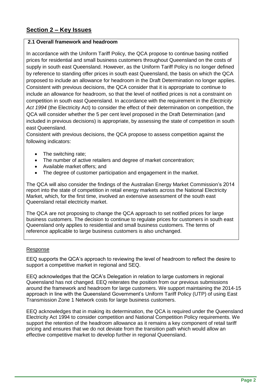# **2.1 Overall framework and headroom**

In accordance with the Uniform Tariff Policy, the QCA propose to continue basing notified prices for residential and small business customers throughout Queensland on the costs of supply in south east Queensland. However, as the Uniform Tariff Policy is no longer defined by reference to standing offer prices in south east Queensland, the basis on which the QCA proposed to include an allowance for headroom in the Draft Determination no longer applies. Consistent with previous decisions, the QCA consider that it is appropriate to continue to include an allowance for headroom, so that the level of notified prices is not a constraint on competition in south east Queensland. In accordance with the requirement in the *Electricity Act 1994* (the Electricity Act) to consider the effect of their determination on competition, the QCA will consider whether the 5 per cent level proposed in the Draft Determination (and included in previous decisions) is appropriate, by assessing the state of competition in south east Queensland.

Consistent with previous decisions, the QCA propose to assess competition against the following indicators:

- The switching rate;
- The number of active retailers and degree of market concentration;
- Available market offers: and
- The degree of customer participation and engagement in the market.

The QCA will also consider the findings of the Australian Energy Market Commission's 2014 report into the state of competition in retail energy markets across the National Electricity Market, which, for the first time, involved an extensive assessment of the south east Queensland retail electricity market.

The QCA are not proposing to change the QCA approach to set notified prices for large business customers. The decision to continue to regulate prices for customers in south east Queensland only applies to residential and small business customers. The terms of reference applicable to large business customers is also unchanged.

# Response

EEQ supports the QCA's approach to reviewing the level of headroom to reflect the desire to support a competitive market in regional and SEQ.

EEQ acknowledges that the QCA's Delegation in relation to large customers in regional Queensland has not changed. EEQ reiterates the position from our previous submissions around the framework and headroom for large customers. We support maintaining the 2014-15 approach in line with the Queensland Government's Uniform Tariff Policy (UTP) of using East Transmission Zone 1 Network costs for large business customers.

EEQ acknowledges that in making its determination, the QCA is required under the Queensland Electricity Act 1994 to consider competition and National Competition Policy requirements. We support the retention of the headroom allowance as it remains a key component of retail tariff pricing and ensures that we do not deviate from the transition path which would allow an effective competitive market to develop further in regional Queensland.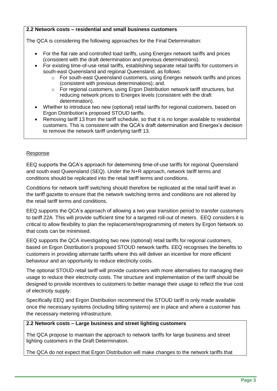# **2.2 Network costs – residential and small business customers**

The QCA is considering the following approaches for the Final Determination:

- For the flat rate and controlled load tariffs, using Energex network tariffs and prices (consistent with the draft determination and previous determinations).
- For existing time-of-use retail tariffs, establishing separate retail tariffs for customers in south-east Queensland and regional Queensland, as follows:
	- $\circ$  For south-east Queensland customers, using Energex network tariffs and prices (consistent with previous determinations); and.
	- o For regional customers, using Ergon Distribution network tariff structures, but reducing network prices to Energex levels (consistent with the draft determination).
- Whether to introduce two new (optional) retail tariffs for regional customers, based on Ergon Distribution's proposed STOUD tariffs.
- Removing tariff 13 from the tariff schedule, so that it is no longer available to residential customers. This is consistent with the QCA's draft determination and Energex's decision to remove the network tariff underlying tariff 13.

#### Response

EEQ supports the QCA's approach for determining time-of-use tariffs for regional Queensland and south east Queensland (SEQ). Under the N+R approach, network tariff terms and conditions should be replicated into the retail tariff terms and conditions.

Conditions for network tariff switching should therefore be replicated at the retail tariff level in the tariff gazette to ensure that the network switching terms and conditions are not altered by the retail tariff terms and conditions.

EEQ supports the QCA's approach of allowing a two year transition period to transfer customers to tariff 22A. This will provide sufficient time for a targeted roll-out of meters. EEQ considers it is critical to allow flexibility to plan the replacement/reprogramming of meters by Ergon Network so that costs can be minimised.

EEQ supports the QCA investigating two new (optional) retail tariffs for regional customers, based on Ergon Distribution's proposed STOUD network tariffs. EEQ recognises the benefits to customers in providing alternate tariffs where this will deliver an incentive for more efficient behaviour and an opportunity to reduce electricity costs.

The optional STOUD retail tariff will provide customers with more alternatives for managing their usage to reduce their electricity costs. The structure and implementation of the tariff should be designed to provide incentives to customers to better manage their usage to reflect the true cost of electricity supply.

Specifically EEQ and Ergon Distribution recommend the STOUD tariff is only made available once the necessary systems (including billing systems) are in place and where a customer has the necessary metering infrastructure.

# **2.2 Network costs – Large business and street lighting customers**

The QCA propose to maintain the approach to network tariffs for large business and street lighting customers in the Draft Determination.

The QCA do not expect that Ergon Distribution will make changes to the network tariffs that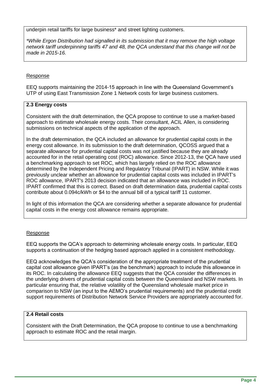underpin retail tariffs for large business\* and street lighting customers.

*\*While Ergon Distribution had signalled in its submission that it may remove the high voltage network tariff underpinning tariffs 47 and 48, the QCA understand that this change will not be made in 2015-16.*

# Response

EEQ supports maintaining the 2014-15 approach in line with the Queensland Government's UTP of using East Transmission Zone 1 Network costs for large business customers.

#### **2.3 Energy costs**

Consistent with the draft determination, the QCA propose to continue to use a market-based approach to estimate wholesale energy costs. Their consultant, ACIL Allen, is considering submissions on technical aspects of the application of the approach.

In the draft determination, the QCA included an allowance for prudential capital costs in the energy cost allowance. In its submission to the draft determination, QCOSS argued that a separate allowance for prudential capital costs was not justified because they are already accounted for in the retail operating cost (ROC) allowance. Since 2012-13, the QCA have used a benchmarking approach to set ROC, which has largely relied on the ROC allowance determined by the Independent Pricing and Regulatory Tribunal (IPART) in NSW. While it was previously unclear whether an allowance for prudential capital costs was included in IPART's ROC allowance, IPART's 2013 decision indicated that an allowance was included in ROC. IPART confirmed that this is correct. Based on draft determination data, prudential capital costs contribute about 0.094c/kWh or \$4 to the annual bill of a typical tariff 11 customer.

In light of this information the QCA are considering whether a separate allowance for prudential capital costs in the energy cost allowance remains appropriate.

# Response

EEQ supports the QCA's approach to determining wholesale energy costs. In particular, EEQ supports a continuation of the hedging based approach applied in a consistent methodology.

EEQ acknowledges the QCA's consideration of the appropriate treatment of the prudential capital cost allowance given IPART's (as the benchmark) approach to include this allowance in its ROC. In calculating the allowance EEQ suggests that the QCA consider the differences in the underlying drivers of prudential capital costs between the Queensland and NSW markets. In particular ensuring that, the relative volatility of the Queensland wholesale market price in comparison to NSW (an input to the AEMO's prudential requirements) and the prudential credit support requirements of Distribution Network Service Providers are appropriately accounted for.

### **2.4 Retail costs**

Consistent with the Draft Determination, the QCA propose to continue to use a benchmarking approach to estimate ROC and the retail margin.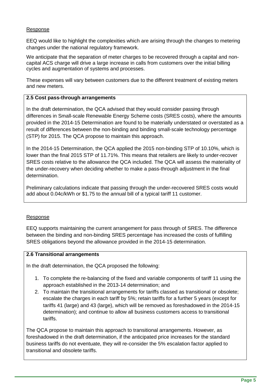#### Response

EEQ would like to highlight the complexities which are arising through the changes to metering changes under the national regulatory framework.

We anticipate that the separation of meter charges to be recovered through a capital and noncapital ACS charge will drive a large increase in calls from customers over the initial billing cycles and augmentation of systems and processes.

These expenses will vary between customers due to the different treatment of existing meters and new meters.

#### **2.5 Cost pass-through arrangements**

In the draft determination, the QCA advised that they would consider passing through differences in Small-scale Renewable Energy Scheme costs (SRES costs), where the amounts provided in the 2014-15 Determination are found to be materially understated or overstated as a result of differences between the non-binding and binding small-scale technology percentage (STP) for 2015. The QCA propose to maintain this approach.

In the 2014-15 Determination, the QCA applied the 2015 non-binding STP of 10.10%, which is lower than the final 2015 STP of 11.71%. This means that retailers are likely to under-recover SRES costs relative to the allowance the QCA included. The QCA will assess the materiality of the under-recovery when deciding whether to make a pass-through adjustment in the final determination.

Preliminary calculations indicate that passing through the under-recovered SRES costs would add about 0.04c/kWh or \$1.75 to the annual bill of a typical tariff 11 customer.

#### Response

EEQ supports maintaining the current arrangement for pass through of SRES. The difference between the binding and non-binding SRES percentage has increased the costs of fulfilling SRES obligations beyond the allowance provided in the 2014-15 determination.

#### **2.6 Transitional arrangements**

In the draft determination, the QCA proposed the following:

- 1. To complete the re-balancing of the fixed and variable components of tariff 11 using the approach established in the 2013-14 determination; and
- 2. To maintain the transitional arrangements for tariffs classed as transitional or obsolete; escalate the charges in each tariff by 5%; retain tariffs for a further 5 years (except for tariffs 41 (large) and 43 (large), which will be removed as foreshadowed in the 2014-15 determination); and continue to allow all business customers access to transitional tariffs.

The QCA propose to maintain this approach to transitional arrangements. However, as foreshadowed in the draft determination, if the anticipated price increases for the standard business tariffs do not eventuate, they will re-consider the 5% escalation factor applied to transitional and obsolete tariffs.